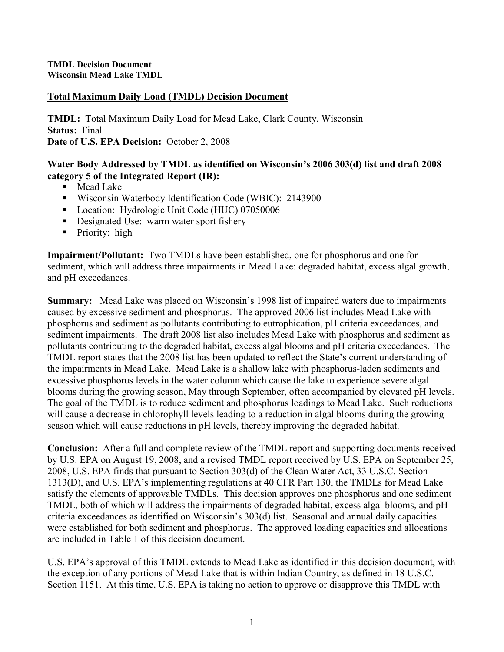### Total Maximum Daily Load (TMDL) Decision Document

TMDL: Total Maximum Daily Load for Mead Lake, Clark County, Wisconsin Status: Final Date of U.S. EPA Decision: October 2, 2008

### Water Body Addressed by TMDL as identified on Wisconsin's 2006 303(d) list and draft 2008 category 5 of the Integrated Report (IR):

- Mead Lake
- Wisconsin Waterbody Identification Code (WBIC): 2143900
- Location: Hydrologic Unit Code (HUC) 07050006
- Designated Use: warm water sport fishery
- Priority: high

Impairment/Pollutant: Two TMDLs have been established, one for phosphorus and one for sediment, which will address three impairments in Mead Lake: degraded habitat, excess algal growth, and pH exceedances.

Summary: Mead Lake was placed on Wisconsin's 1998 list of impaired waters due to impairments caused by excessive sediment and phosphorus. The approved 2006 list includes Mead Lake with phosphorus and sediment as pollutants contributing to eutrophication, pH criteria exceedances, and sediment impairments. The draft 2008 list also includes Mead Lake with phosphorus and sediment as pollutants contributing to the degraded habitat, excess algal blooms and pH criteria exceedances. The TMDL report states that the 2008 list has been updated to reflect the State's current understanding of the impairments in Mead Lake. Mead Lake is a shallow lake with phosphorus-laden sediments and excessive phosphorus levels in the water column which cause the lake to experience severe algal blooms during the growing season, May through September, often accompanied by elevated pH levels. The goal of the TMDL is to reduce sediment and phosphorus loadings to Mead Lake. Such reductions will cause a decrease in chlorophyll levels leading to a reduction in algal blooms during the growing season which will cause reductions in pH levels, thereby improving the degraded habitat.

Conclusion: After a full and complete review of the TMDL report and supporting documents received by U.S. EPA on August 19, 2008, and a revised TMDL report received by U.S. EPA on September 25, 2008, U.S. EPA finds that pursuant to Section 303(d) of the Clean Water Act, 33 U.S.C. Section 1313(D), and U.S. EPA's implementing regulations at 40 CFR Part 130, the TMDLs for Mead Lake satisfy the elements of approvable TMDLs. This decision approves one phosphorus and one sediment TMDL, both of which will address the impairments of degraded habitat, excess algal blooms, and pH criteria exceedances as identified on Wisconsin's 303(d) list. Seasonal and annual daily capacities were established for both sediment and phosphorus. The approved loading capacities and allocations are included in Table 1 of this decision document.

U.S. EPA's approval of this TMDL extends to Mead Lake as identified in this decision document, with the exception of any portions of Mead Lake that is within Indian Country, as defined in 18 U.S.C. Section 1151. At this time, U.S. EPA is taking no action to approve or disapprove this TMDL with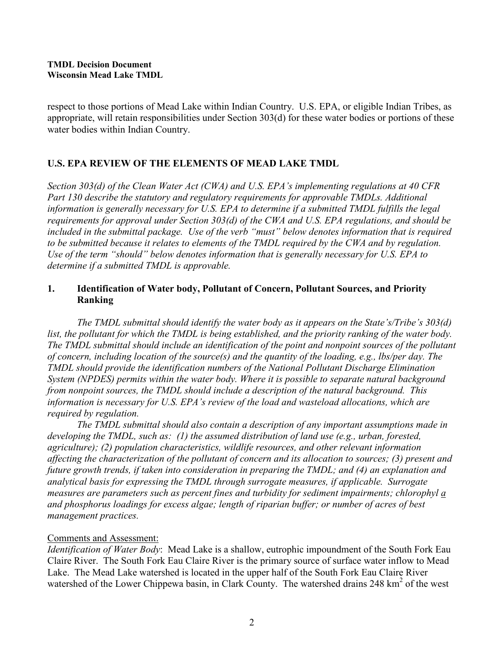respect to those portions of Mead Lake within Indian Country. U.S. EPA, or eligible Indian Tribes, as appropriate, will retain responsibilities under Section 303(d) for these water bodies or portions of these water bodies within Indian Country.

# U.S. EPA REVIEW OF THE ELEMENTS OF MEAD LAKE TMDL

Section 303(d) of the Clean Water Act (CWA) and U.S. EPA's implementing regulations at 40 CFR Part 130 describe the statutory and regulatory requirements for approvable TMDLs. Additional information is generally necessary for U.S. EPA to determine if a submitted TMDL fulfills the legal requirements for approval under Section 303(d) of the CWA and U.S. EPA regulations, and should be included in the submittal package. Use of the verb "must" below denotes information that is required to be submitted because it relates to elements of the TMDL required by the CWA and by regulation. Use of the term "should" below denotes information that is generally necessary for U.S. EPA to determine if a submitted TMDL is approvable.

### 1. Identification of Water body, Pollutant of Concern, Pollutant Sources, and Priority Ranking

The TMDL submittal should identify the water body as it appears on the State's/Tribe's 303(d) list, the pollutant for which the TMDL is being established, and the priority ranking of the water body. The TMDL submittal should include an identification of the point and nonpoint sources of the pollutant of concern, including location of the source(s) and the quantity of the loading, e.g., lbs/per day. The TMDL should provide the identification numbers of the National Pollutant Discharge Elimination System (NPDES) permits within the water body. Where it is possible to separate natural background from nonpoint sources, the TMDL should include a description of the natural background. This information is necessary for U.S. EPA's review of the load and wasteload allocations, which are required by regulation.

 The TMDL submittal should also contain a description of any important assumptions made in developing the TMDL, such as: (1) the assumed distribution of land use (e.g., urban, forested, agriculture); (2) population characteristics, wildlife resources, and other relevant information affecting the characterization of the pollutant of concern and its allocation to sources; (3) present and future growth trends, if taken into consideration in preparing the TMDL; and (4) an explanation and analytical basis for expressing the TMDL through surrogate measures, if applicable. Surrogate measures are parameters such as percent fines and turbidity for sediment impairments; chlorophyl a and phosphorus loadings for excess algae; length of riparian buffer; or number of acres of best management practices.

## Comments and Assessment:

Identification of Water Body: Mead Lake is a shallow, eutrophic impoundment of the South Fork Eau Claire River. The South Fork Eau Claire River is the primary source of surface water inflow to Mead Lake. The Mead Lake watershed is located in the upper half of the South Fork Eau Claire River watershed of the Lower Chippewa basin, in Clark County. The watershed drains 248 km<sup>2</sup> of the west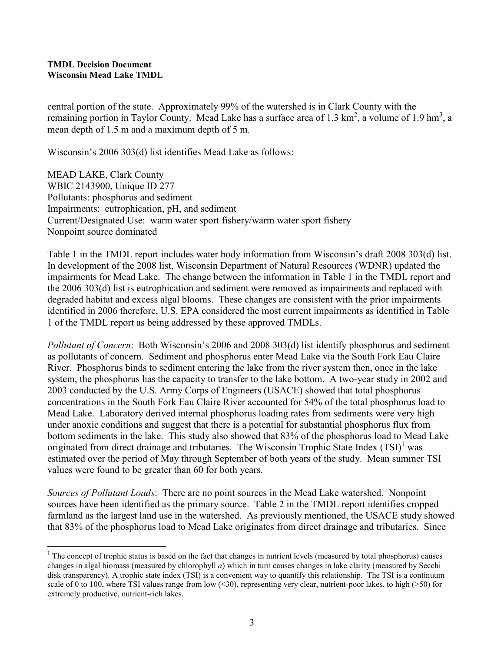central portion of the state. Approximately 99% of the watershed is in Clark County with the remaining portion in Taylor County. Mead Lake has a surface area of 1.3  $\text{km}^2$ , a volume of 1.9 hm<sup>3</sup>, a mean depth of 1.5 m and a maximum depth of 5 m.

Wisconsin's 2006 303(d) list identifies Mead Lake as follows:

MEAD LAKE, Clark County WBIC 2143900, Unique ID 277 Pollutants: phosphorus and sediment Impairments: eutrophication, pH, and sediment Current/Designated Use: warm water sport fishery/warm water sport fishery Nonpoint source dominated

Table 1 in the TMDL report includes water body information from Wisconsin's draft 2008 303(d) list. In development of the 2008 list, Wisconsin Department of Natural Resources (WDNR) updated the impairments for Mead Lake. The change between the information in Table 1 in the TMDL report and the 2006 303(d) list is eutrophication and sediment were removed as impairments and replaced with degraded habitat and excess algal blooms. These changes are consistent with the prior impairments identified in 2006 therefore, U.S. EPA considered the most current impairments as identified in Table 1 of the TMDL report as being addressed by these approved TMDLs.

Pollutant of Concern: Both Wisconsin's 2006 and 2008 303(d) list identify phosphorus and sediment as pollutants of concern. Sediment and phosphorus enter Mead Lake via the South Fork Eau Claire River. Phosphorus binds to sediment entering the lake from the river system then, once in the lake system, the phosphorus has the capacity to transfer to the lake bottom. A two-year study in 2002 and 2003 conducted by the U.S. Army Corps of Engineers (USACE) showed that total phosphorus concentrations in the South Fork Eau Claire River accounted for 54% of the total phosphorus load to Mead Lake. Laboratory derived internal phosphorus loading rates from sediments were very high under anoxic conditions and suggest that there is a potential for substantial phosphorus flux from bottom sediments in the lake. This study also showed that 83% of the phosphorus load to Mead Lake originated from direct drainage and tributaries. The Wisconsin Trophic State Index  $(TSI)^{1}$  was estimated over the period of May through September of both years of the study. Mean summer TSI values were found to be greater than 60 for both years.

Sources of Pollutant Loads: There are no point sources in the Mead Lake watershed. Nonpoint sources have been identified as the primary source. Table 2 in the TMDL report identifies cropped farmland as the largest land use in the watershed. As previously mentioned, the USACE study showed that 83% of the phosphorus load to Mead Lake originates from direct drainage and tributaries. Since

 $\overline{a}$  $1$  The concept of trophic status is based on the fact that changes in nutrient levels (measured by total phosphorus) causes changes in algal biomass (measured by chlorophyll  $a$ ) which in turn causes changes in lake clarity (measured by Secchi disk transparency). A trophic state index (TSI) is a convenient way to quantify this relationship. The TSI is a continuum scale of 0 to 100, where TSI values range from low  $(*30*)$ , representing very clear, nutrient-poor lakes, to high ( $>50$ ) for extremely productive, nutrient-rich lakes.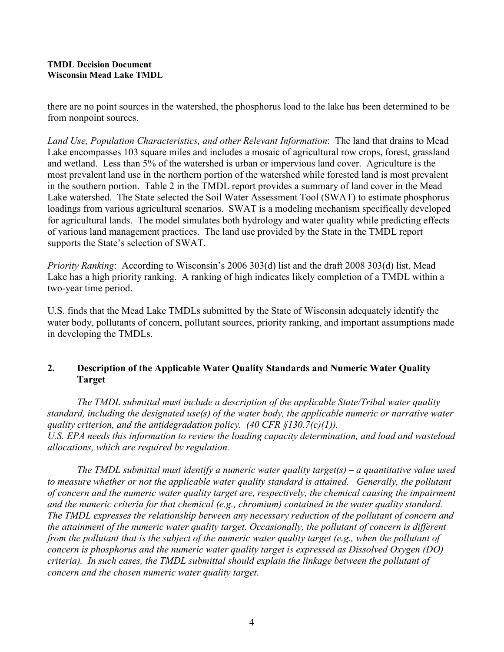there are no point sources in the watershed, the phosphorus load to the lake has been determined to be from nonpoint sources.

Land Use, Population Characteristics, and other Relevant Information: The land that drains to Mead Lake encompasses 103 square miles and includes a mosaic of agricultural row crops, forest, grassland and wetland. Less than 5% of the watershed is urban or impervious land cover. Agriculture is the most prevalent land use in the northern portion of the watershed while forested land is most prevalent in the southern portion. Table 2 in the TMDL report provides a summary of land cover in the Mead Lake watershed. The State selected the Soil Water Assessment Tool (SWAT) to estimate phosphorus loadings from various agricultural scenarios. SWAT is a modeling mechanism specifically developed for agricultural lands. The model simulates both hydrology and water quality while predicting effects of various land management practices. The land use provided by the State in the TMDL report supports the State's selection of SWAT.

Priority Ranking: According to Wisconsin's 2006 303(d) list and the draft 2008 303(d) list, Mead Lake has a high priority ranking. A ranking of high indicates likely completion of a TMDL within a two-year time period.

U.S. finds that the Mead Lake TMDLs submitted by the State of Wisconsin adequately identify the water body, pollutants of concern, pollutant sources, priority ranking, and important assumptions made in developing the TMDLs.

# 2. Description of the Applicable Water Quality Standards and Numeric Water Quality Target

The TMDL submittal must include a description of the applicable State/Tribal water quality standard, including the designated use(s) of the water body, the applicable numeric or narrative water quality criterion, and the antidegradation policy. (40 CFR  $\S$ 130.7(c)(1)). U.S. EPA needs this information to review the loading capacity determination, and load and wasteload allocations, which are required by regulation.

The TMDL submittal must identify a numeric water quality target(s) – a quantitative value used to measure whether or not the applicable water quality standard is attained. Generally, the pollutant of concern and the numeric water quality target are, respectively, the chemical causing the impairment and the numeric criteria for that chemical (e.g., chromium) contained in the water quality standard. The TMDL expresses the relationship between any necessary reduction of the pollutant of concern and the attainment of the numeric water quality target. Occasionally, the pollutant of concern is different from the pollutant that is the subject of the numeric water quality target (e.g., when the pollutant of concern is phosphorus and the numeric water quality target is expressed as Dissolved Oxygen (DO) criteria). In such cases, the TMDL submittal should explain the linkage between the pollutant of concern and the chosen numeric water quality target.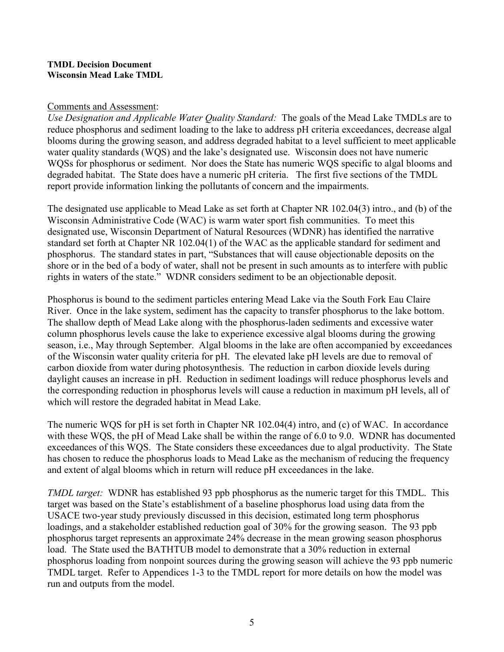### Comments and Assessment:

Use Designation and Applicable Water Quality Standard: The goals of the Mead Lake TMDLs are to reduce phosphorus and sediment loading to the lake to address pH criteria exceedances, decrease algal blooms during the growing season, and address degraded habitat to a level sufficient to meet applicable water quality standards (WQS) and the lake's designated use. Wisconsin does not have numeric WQSs for phosphorus or sediment. Nor does the State has numeric WQS specific to algal blooms and degraded habitat. The State does have a numeric pH criteria. The first five sections of the TMDL report provide information linking the pollutants of concern and the impairments.

The designated use applicable to Mead Lake as set forth at Chapter NR 102.04(3) intro., and (b) of the Wisconsin Administrative Code (WAC) is warm water sport fish communities. To meet this designated use, Wisconsin Department of Natural Resources (WDNR) has identified the narrative standard set forth at Chapter NR 102.04(1) of the WAC as the applicable standard for sediment and phosphorus. The standard states in part, "Substances that will cause objectionable deposits on the shore or in the bed of a body of water, shall not be present in such amounts as to interfere with public rights in waters of the state." WDNR considers sediment to be an objectionable deposit.

Phosphorus is bound to the sediment particles entering Mead Lake via the South Fork Eau Claire River. Once in the lake system, sediment has the capacity to transfer phosphorus to the lake bottom. The shallow depth of Mead Lake along with the phosphorus-laden sediments and excessive water column phosphorus levels cause the lake to experience excessive algal blooms during the growing season, i.e., May through September. Algal blooms in the lake are often accompanied by exceedances of the Wisconsin water quality criteria for pH. The elevated lake pH levels are due to removal of carbon dioxide from water during photosynthesis. The reduction in carbon dioxide levels during daylight causes an increase in pH. Reduction in sediment loadings will reduce phosphorus levels and the corresponding reduction in phosphorus levels will cause a reduction in maximum pH levels, all of which will restore the degraded habitat in Mead Lake.

The numeric WQS for pH is set forth in Chapter NR 102.04(4) intro, and (c) of WAC. In accordance with these WOS, the pH of Mead Lake shall be within the range of 6.0 to 9.0. WDNR has documented exceedances of this WQS. The State considers these exceedances due to algal productivity. The State has chosen to reduce the phosphorus loads to Mead Lake as the mechanism of reducing the frequency and extent of algal blooms which in return will reduce pH exceedances in the lake.

TMDL target: WDNR has established 93 ppb phosphorus as the numeric target for this TMDL. This target was based on the State's establishment of a baseline phosphorus load using data from the USACE two-year study previously discussed in this decision, estimated long term phosphorus loadings, and a stakeholder established reduction goal of 30% for the growing season. The 93 ppb phosphorus target represents an approximate 24% decrease in the mean growing season phosphorus load. The State used the BATHTUB model to demonstrate that a 30% reduction in external phosphorus loading from nonpoint sources during the growing season will achieve the 93 ppb numeric TMDL target. Refer to Appendices 1-3 to the TMDL report for more details on how the model was run and outputs from the model.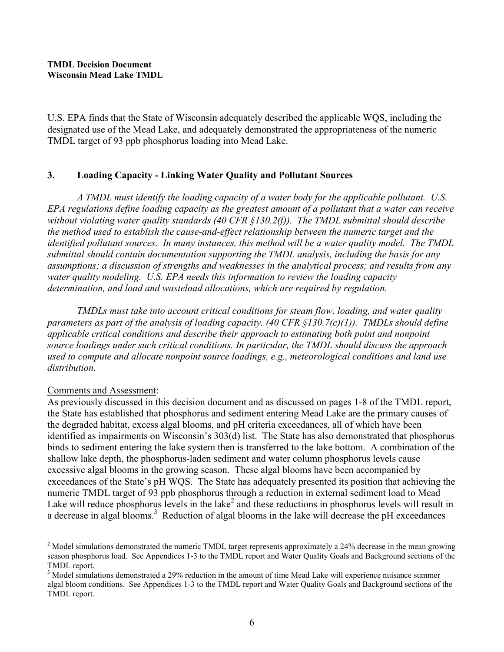U.S. EPA finds that the State of Wisconsin adequately described the applicable WQS, including the designated use of the Mead Lake, and adequately demonstrated the appropriateness of the numeric TMDL target of 93 ppb phosphorus loading into Mead Lake.

### 3. Loading Capacity - Linking Water Quality and Pollutant Sources

A TMDL must identify the loading capacity of a water body for the applicable pollutant. U.S. EPA regulations define loading capacity as the greatest amount of a pollutant that a water can receive without violating water quality standards (40 CFR §130.2(f)). The TMDL submittal should describe the method used to establish the cause-and-effect relationship between the numeric target and the identified pollutant sources. In many instances, this method will be a water quality model. The TMDL submittal should contain documentation supporting the TMDL analysis, including the basis for any assumptions; a discussion of strengths and weaknesses in the analytical process; and results from any water quality modeling. U.S. EPA needs this information to review the loading capacity determination, and load and wasteload allocations, which are required by regulation.

 TMDLs must take into account critical conditions for steam flow, loading, and water quality parameters as part of the analysis of loading capacity. (40 CFR  $\S$ 130.7(c)(1)). TMDLs should define applicable critical conditions and describe their approach to estimating both point and nonpoint source loadings under such critical conditions. In particular, the TMDL should discuss the approach used to compute and allocate nonpoint source loadings, e.g., meteorological conditions and land use distribution.

### Comments and Assessment:

 $\overline{a}$ 

As previously discussed in this decision document and as discussed on pages 1-8 of the TMDL report, the State has established that phosphorus and sediment entering Mead Lake are the primary causes of the degraded habitat, excess algal blooms, and pH criteria exceedances, all of which have been identified as impairments on Wisconsin's 303(d) list. The State has also demonstrated that phosphorus binds to sediment entering the lake system then is transferred to the lake bottom. A combination of the shallow lake depth, the phosphorus-laden sediment and water column phosphorus levels cause excessive algal blooms in the growing season. These algal blooms have been accompanied by exceedances of the State's pH WQS. The State has adequately presented its position that achieving the numeric TMDL target of 93 ppb phosphorus through a reduction in external sediment load to Mead Lake will reduce phosphorus levels in the lake<sup>2</sup> and these reductions in phosphorus levels will result in a decrease in algal blooms.<sup>3</sup> Reduction of algal blooms in the lake will decrease the pH exceedances

 $2$  Model simulations demonstrated the numeric TMDL target represents approximately a 24% decrease in the mean growing season phosphorus load. See Appendices 1-3 to the TMDL report and Water Quality Goals and Background sections of the TMDL report.

<sup>&</sup>lt;sup>3</sup> Model simulations demonstrated a 29% reduction in the amount of time Mead Lake will experience nuisance summer algal bloom conditions. See Appendices 1-3 to the TMDL report and Water Quality Goals and Background sections of the TMDL report.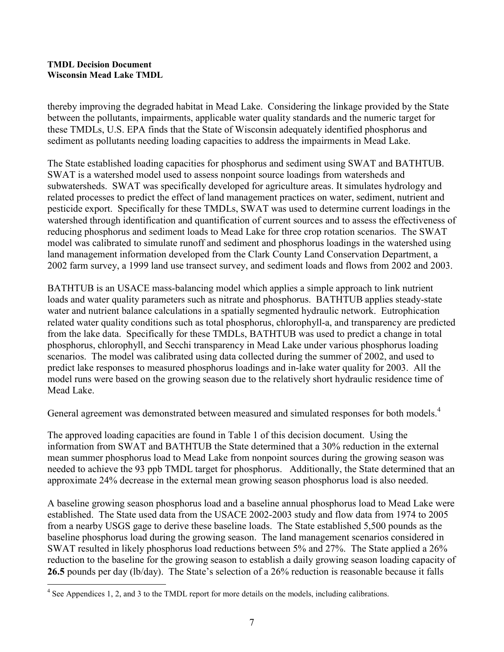thereby improving the degraded habitat in Mead Lake. Considering the linkage provided by the State between the pollutants, impairments, applicable water quality standards and the numeric target for these TMDLs, U.S. EPA finds that the State of Wisconsin adequately identified phosphorus and sediment as pollutants needing loading capacities to address the impairments in Mead Lake.

The State established loading capacities for phosphorus and sediment using SWAT and BATHTUB. SWAT is a watershed model used to assess nonpoint source loadings from watersheds and subwatersheds. SWAT was specifically developed for agriculture areas. It simulates hydrology and related processes to predict the effect of land management practices on water, sediment, nutrient and pesticide export. Specifically for these TMDLs, SWAT was used to determine current loadings in the watershed through identification and quantification of current sources and to assess the effectiveness of reducing phosphorus and sediment loads to Mead Lake for three crop rotation scenarios. The SWAT model was calibrated to simulate runoff and sediment and phosphorus loadings in the watershed using land management information developed from the Clark County Land Conservation Department, a 2002 farm survey, a 1999 land use transect survey, and sediment loads and flows from 2002 and 2003.

BATHTUB is an USACE mass-balancing model which applies a simple approach to link nutrient loads and water quality parameters such as nitrate and phosphorus. BATHTUB applies steady-state water and nutrient balance calculations in a spatially segmented hydraulic network. Eutrophication related water quality conditions such as total phosphorus, chlorophyll-a, and transparency are predicted from the lake data. Specifically for these TMDLs, BATHTUB was used to predict a change in total phosphorus, chlorophyll, and Secchi transparency in Mead Lake under various phosphorus loading scenarios. The model was calibrated using data collected during the summer of 2002, and used to predict lake responses to measured phosphorus loadings and in-lake water quality for 2003. All the model runs were based on the growing season due to the relatively short hydraulic residence time of Mead Lake.

General agreement was demonstrated between measured and simulated responses for both models.<sup>4</sup>

The approved loading capacities are found in Table 1 of this decision document. Using the information from SWAT and BATHTUB the State determined that a 30% reduction in the external mean summer phosphorus load to Mead Lake from nonpoint sources during the growing season was needed to achieve the 93 ppb TMDL target for phosphorus. Additionally, the State determined that an approximate 24% decrease in the external mean growing season phosphorus load is also needed.

A baseline growing season phosphorus load and a baseline annual phosphorus load to Mead Lake were established. The State used data from the USACE 2002-2003 study and flow data from 1974 to 2005 from a nearby USGS gage to derive these baseline loads. The State established 5,500 pounds as the baseline phosphorus load during the growing season. The land management scenarios considered in SWAT resulted in likely phosphorus load reductions between 5% and 27%. The State applied a 26% reduction to the baseline for the growing season to establish a daily growing season loading capacity of 26.5 pounds per day (lb/day). The State's selection of a 26% reduction is reasonable because it falls

<sup>&</sup>lt;sup>4</sup> See Appendices 1, 2, and 3 to the TMDL report for more details on the models, including calibrations.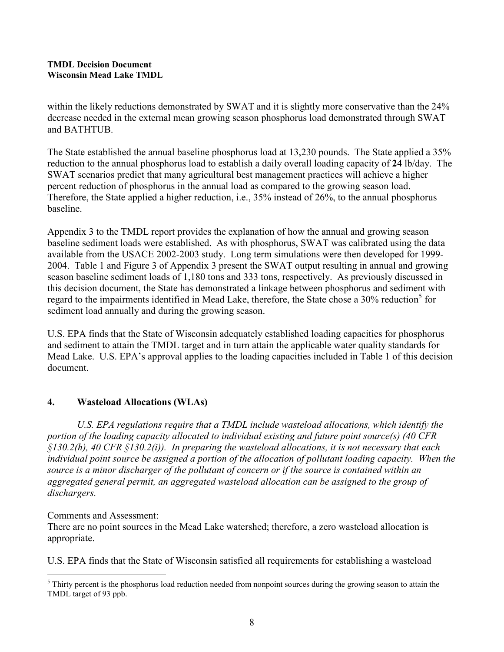within the likely reductions demonstrated by SWAT and it is slightly more conservative than the 24% decrease needed in the external mean growing season phosphorus load demonstrated through SWAT and BATHTUB.

The State established the annual baseline phosphorus load at 13,230 pounds. The State applied a 35% reduction to the annual phosphorus load to establish a daily overall loading capacity of 24 lb/day. The SWAT scenarios predict that many agricultural best management practices will achieve a higher percent reduction of phosphorus in the annual load as compared to the growing season load. Therefore, the State applied a higher reduction, i.e., 35% instead of 26%, to the annual phosphorus baseline.

Appendix 3 to the TMDL report provides the explanation of how the annual and growing season baseline sediment loads were established. As with phosphorus, SWAT was calibrated using the data available from the USACE 2002-2003 study. Long term simulations were then developed for 1999- 2004. Table 1 and Figure 3 of Appendix 3 present the SWAT output resulting in annual and growing season baseline sediment loads of 1,180 tons and 333 tons, respectively. As previously discussed in this decision document, the State has demonstrated a linkage between phosphorus and sediment with regard to the impairments identified in Mead Lake, therefore, the State chose a 30% reduction<sup>5</sup> for sediment load annually and during the growing season.

U.S. EPA finds that the State of Wisconsin adequately established loading capacities for phosphorus and sediment to attain the TMDL target and in turn attain the applicable water quality standards for Mead Lake. U.S. EPA's approval applies to the loading capacities included in Table 1 of this decision document.

## 4. Wasteload Allocations (WLAs)

U.S. EPA regulations require that a TMDL include wasteload allocations, which identify the portion of the loading capacity allocated to individual existing and future point source(s) (40 CFR  $\S$ 130.2(h), 40 CFR  $\S$ 130.2(i)). In preparing the wasteload allocations, it is not necessary that each individual point source be assigned a portion of the allocation of pollutant loading capacity. When the source is a minor discharger of the pollutant of concern or if the source is contained within an aggregated general permit, an aggregated wasteload allocation can be assigned to the group of dischargers.

### Comments and Assessment:

There are no point sources in the Mead Lake watershed; therefore, a zero wasteload allocation is appropriate.

U.S. EPA finds that the State of Wisconsin satisfied all requirements for establishing a wasteload

 $\overline{a}$ <sup>5</sup> Thirty percent is the phosphorus load reduction needed from nonpoint sources during the growing season to attain the TMDL target of 93 ppb.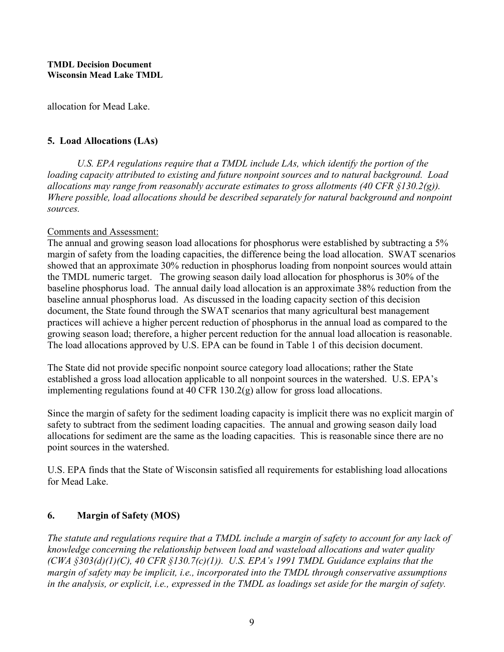allocation for Mead Lake.

### 5. Load Allocations (LAs)

U.S. EPA regulations require that a TMDL include LAs, which identify the portion of the loading capacity attributed to existing and future nonpoint sources and to natural background. Load allocations may range from reasonably accurate estimates to gross allotments (40 CFR  $\S$ 130.2(g)). Where possible, load allocations should be described separately for natural background and nonpoint sources.

### Comments and Assessment:

The annual and growing season load allocations for phosphorus were established by subtracting a 5% margin of safety from the loading capacities, the difference being the load allocation. SWAT scenarios showed that an approximate 30% reduction in phosphorus loading from nonpoint sources would attain the TMDL numeric target. The growing season daily load allocation for phosphorus is 30% of the baseline phosphorus load. The annual daily load allocation is an approximate 38% reduction from the baseline annual phosphorus load. As discussed in the loading capacity section of this decision document, the State found through the SWAT scenarios that many agricultural best management practices will achieve a higher percent reduction of phosphorus in the annual load as compared to the growing season load; therefore, a higher percent reduction for the annual load allocation is reasonable. The load allocations approved by U.S. EPA can be found in Table 1 of this decision document.

The State did not provide specific nonpoint source category load allocations; rather the State established a gross load allocation applicable to all nonpoint sources in the watershed. U.S. EPA's implementing regulations found at 40 CFR 130.2(g) allow for gross load allocations.

Since the margin of safety for the sediment loading capacity is implicit there was no explicit margin of safety to subtract from the sediment loading capacities. The annual and growing season daily load allocations for sediment are the same as the loading capacities. This is reasonable since there are no point sources in the watershed.

U.S. EPA finds that the State of Wisconsin satisfied all requirements for establishing load allocations for Mead Lake.

# 6. Margin of Safety (MOS)

The statute and regulations require that a TMDL include a margin of safety to account for any lack of knowledge concerning the relationship between load and wasteload allocations and water quality  $(CWA \S 303(d)(1)(C), 40 CFR \S 130.7(c)(1)).$  U.S. EPA's 1991 TMDL Guidance explains that the margin of safety may be implicit, i.e., incorporated into the TMDL through conservative assumptions in the analysis, or explicit, i.e., expressed in the TMDL as loadings set aside for the margin of safety.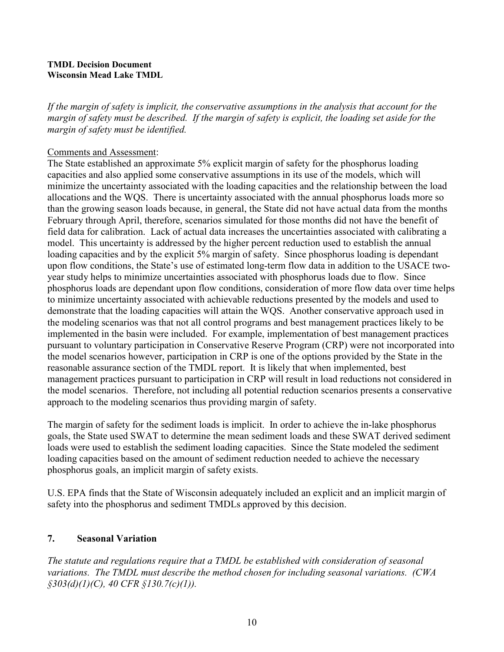If the margin of safety is implicit, the conservative assumptions in the analysis that account for the margin of safety must be described. If the margin of safety is explicit, the loading set aside for the margin of safety must be identified.

### Comments and Assessment:

The State established an approximate 5% explicit margin of safety for the phosphorus loading capacities and also applied some conservative assumptions in its use of the models, which will minimize the uncertainty associated with the loading capacities and the relationship between the load allocations and the WQS. There is uncertainty associated with the annual phosphorus loads more so than the growing season loads because, in general, the State did not have actual data from the months February through April, therefore, scenarios simulated for those months did not have the benefit of field data for calibration. Lack of actual data increases the uncertainties associated with calibrating a model. This uncertainty is addressed by the higher percent reduction used to establish the annual loading capacities and by the explicit 5% margin of safety. Since phosphorus loading is dependant upon flow conditions, the State's use of estimated long-term flow data in addition to the USACE twoyear study helps to minimize uncertainties associated with phosphorus loads due to flow. Since phosphorus loads are dependant upon flow conditions, consideration of more flow data over time helps to minimize uncertainty associated with achievable reductions presented by the models and used to demonstrate that the loading capacities will attain the WQS. Another conservative approach used in the modeling scenarios was that not all control programs and best management practices likely to be implemented in the basin were included. For example, implementation of best management practices pursuant to voluntary participation in Conservative Reserve Program (CRP) were not incorporated into the model scenarios however, participation in CRP is one of the options provided by the State in the reasonable assurance section of the TMDL report. It is likely that when implemented, best management practices pursuant to participation in CRP will result in load reductions not considered in the model scenarios. Therefore, not including all potential reduction scenarios presents a conservative approach to the modeling scenarios thus providing margin of safety.

The margin of safety for the sediment loads is implicit. In order to achieve the in-lake phosphorus goals, the State used SWAT to determine the mean sediment loads and these SWAT derived sediment loads were used to establish the sediment loading capacities. Since the State modeled the sediment loading capacities based on the amount of sediment reduction needed to achieve the necessary phosphorus goals, an implicit margin of safety exists.

U.S. EPA finds that the State of Wisconsin adequately included an explicit and an implicit margin of safety into the phosphorus and sediment TMDLs approved by this decision.

## 7. Seasonal Variation

The statute and regulations require that a TMDL be established with consideration of seasonal variations. The TMDL must describe the method chosen for including seasonal variations. (CWA  $\frac{\sqrt{3303}}{d}(d)(1)(C)$ , 40 CFR  $\frac{\sqrt{3130}}{c}(c)(1))$ .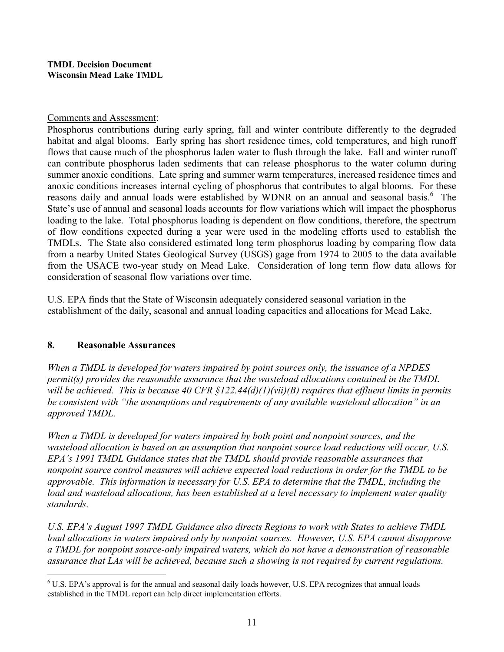### Comments and Assessment:

Phosphorus contributions during early spring, fall and winter contribute differently to the degraded habitat and algal blooms. Early spring has short residence times, cold temperatures, and high runoff flows that cause much of the phosphorus laden water to flush through the lake. Fall and winter runoff can contribute phosphorus laden sediments that can release phosphorus to the water column during summer anoxic conditions. Late spring and summer warm temperatures, increased residence times and anoxic conditions increases internal cycling of phosphorus that contributes to algal blooms. For these reasons daily and annual loads were established by WDNR on an annual and seasonal basis.<sup>6</sup> The State's use of annual and seasonal loads accounts for flow variations which will impact the phosphorus loading to the lake. Total phosphorus loading is dependent on flow conditions, therefore, the spectrum of flow conditions expected during a year were used in the modeling efforts used to establish the TMDLs. The State also considered estimated long term phosphorus loading by comparing flow data from a nearby United States Geological Survey (USGS) gage from 1974 to 2005 to the data available from the USACE two-year study on Mead Lake. Consideration of long term flow data allows for consideration of seasonal flow variations over time.

U.S. EPA finds that the State of Wisconsin adequately considered seasonal variation in the establishment of the daily, seasonal and annual loading capacities and allocations for Mead Lake.

## 8. Reasonable Assurances

When a TMDL is developed for waters impaired by point sources only, the issuance of a NPDES permit(s) provides the reasonable assurance that the wasteload allocations contained in the TMDL will be achieved. This is because 40 CFR  $\S122.44(d)(1)(\n$ ii)(B) requires that effluent limits in permits be consistent with "the assumptions and requirements of any available wasteload allocation" in an approved TMDL.

When a TMDL is developed for waters impaired by both point and nonpoint sources, and the wasteload allocation is based on an assumption that nonpoint source load reductions will occur, U.S. EPA's 1991 TMDL Guidance states that the TMDL should provide reasonable assurances that nonpoint source control measures will achieve expected load reductions in order for the TMDL to be approvable. This information is necessary for U.S. EPA to determine that the TMDL, including the load and wasteload allocations, has been established at a level necessary to implement water quality standards.

U.S. EPA's August 1997 TMDL Guidance also directs Regions to work with States to achieve TMDL load allocations in waters impaired only by nonpoint sources. However, U.S. EPA cannot disapprove a TMDL for nonpoint source-only impaired waters, which do not have a demonstration of reasonable assurance that LAs will be achieved, because such a showing is not required by current regulations.

 6 U.S. EPA's approval is for the annual and seasonal daily loads however, U.S. EPA recognizes that annual loads established in the TMDL report can help direct implementation efforts.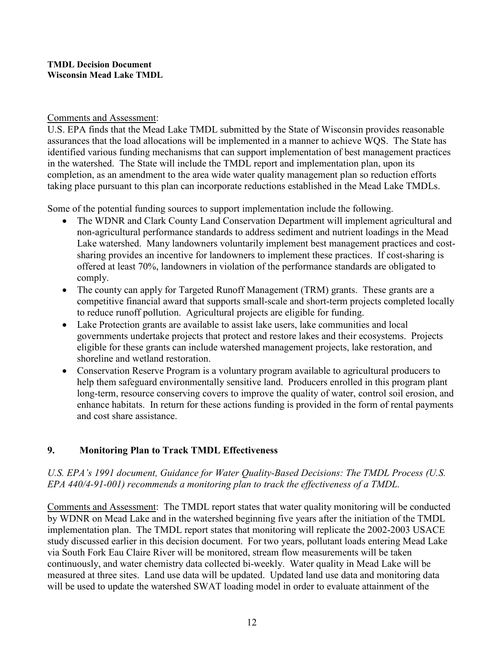### Comments and Assessment:

U.S. EPA finds that the Mead Lake TMDL submitted by the State of Wisconsin provides reasonable assurances that the load allocations will be implemented in a manner to achieve WQS. The State has identified various funding mechanisms that can support implementation of best management practices in the watershed. The State will include the TMDL report and implementation plan, upon its completion, as an amendment to the area wide water quality management plan so reduction efforts taking place pursuant to this plan can incorporate reductions established in the Mead Lake TMDLs.

Some of the potential funding sources to support implementation include the following.

- The WDNR and Clark County Land Conservation Department will implement agricultural and non-agricultural performance standards to address sediment and nutrient loadings in the Mead Lake watershed. Many landowners voluntarily implement best management practices and costsharing provides an incentive for landowners to implement these practices. If cost-sharing is offered at least 70%, landowners in violation of the performance standards are obligated to comply.
- The county can apply for Targeted Runoff Management (TRM) grants. These grants are a competitive financial award that supports small-scale and short-term projects completed locally to reduce runoff pollution. Agricultural projects are eligible for funding.
- Lake Protection grants are available to assist lake users, lake communities and local governments undertake projects that protect and restore lakes and their ecosystems. Projects eligible for these grants can include watershed management projects, lake restoration, and shoreline and wetland restoration.
- Conservation Reserve Program is a voluntary program available to agricultural producers to help them safeguard environmentally sensitive land. Producers enrolled in this program plant long-term, resource conserving covers to improve the quality of water, control soil erosion, and enhance habitats. In return for these actions funding is provided in the form of rental payments and cost share assistance.

# 9. Monitoring Plan to Track TMDL Effectiveness

# U.S. EPA's 1991 document, Guidance for Water Quality-Based Decisions: The TMDL Process (U.S. EPA 440/4-91-001) recommends a monitoring plan to track the effectiveness of a TMDL.

Comments and Assessment: The TMDL report states that water quality monitoring will be conducted by WDNR on Mead Lake and in the watershed beginning five years after the initiation of the TMDL implementation plan. The TMDL report states that monitoring will replicate the 2002-2003 USACE study discussed earlier in this decision document. For two years, pollutant loads entering Mead Lake via South Fork Eau Claire River will be monitored, stream flow measurements will be taken continuously, and water chemistry data collected bi-weekly. Water quality in Mead Lake will be measured at three sites. Land use data will be updated. Updated land use data and monitoring data will be used to update the watershed SWAT loading model in order to evaluate attainment of the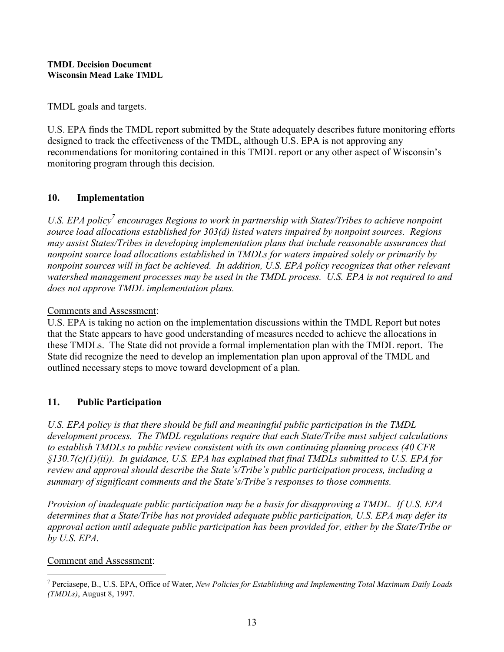TMDL goals and targets.

U.S. EPA finds the TMDL report submitted by the State adequately describes future monitoring efforts designed to track the effectiveness of the TMDL, although U.S. EPA is not approving any recommendations for monitoring contained in this TMDL report or any other aspect of Wisconsin's monitoring program through this decision.

# 10. Implementation

U.S. EPA policy<sup>7</sup> encourages Regions to work in partnership with States/Tribes to achieve nonpoint source load allocations established for 303(d) listed waters impaired by nonpoint sources. Regions may assist States/Tribes in developing implementation plans that include reasonable assurances that nonpoint source load allocations established in TMDLs for waters impaired solely or primarily by nonpoint sources will in fact be achieved. In addition, U.S. EPA policy recognizes that other relevant watershed management processes may be used in the TMDL process. U.S. EPA is not required to and does not approve TMDL implementation plans.

## Comments and Assessment:

U.S. EPA is taking no action on the implementation discussions within the TMDL Report but notes that the State appears to have good understanding of measures needed to achieve the allocations in these TMDLs. The State did not provide a formal implementation plan with the TMDL report. The State did recognize the need to develop an implementation plan upon approval of the TMDL and outlined necessary steps to move toward development of a plan.

# 11. Public Participation

U.S. EPA policy is that there should be full and meaningful public participation in the TMDL development process. The TMDL regulations require that each State/Tribe must subject calculations to establish TMDLs to public review consistent with its own continuing planning process (40 CFR  $\S$ 130.7(c)(1)(ii)). In guidance, U.S. EPA has explained that final TMDLs submitted to U.S. EPA for review and approval should describe the State's/Tribe's public participation process, including a summary of significant comments and the State's/Tribe's responses to those comments.

Provision of inadequate public participation may be a basis for disapproving a TMDL. If U.S. EPA determines that a State/Tribe has not provided adequate public participation, U.S. EPA may defer its approval action until adequate public participation has been provided for, either by the State/Tribe or by U.S. EPA.

## Comment and Assessment:

 $\overline{a}$ <sup>7</sup> Perciasepe, B., U.S. EPA, Office of Water, New Policies for Establishing and Implementing Total Maximum Daily Loads (TMDLs), August 8, 1997.